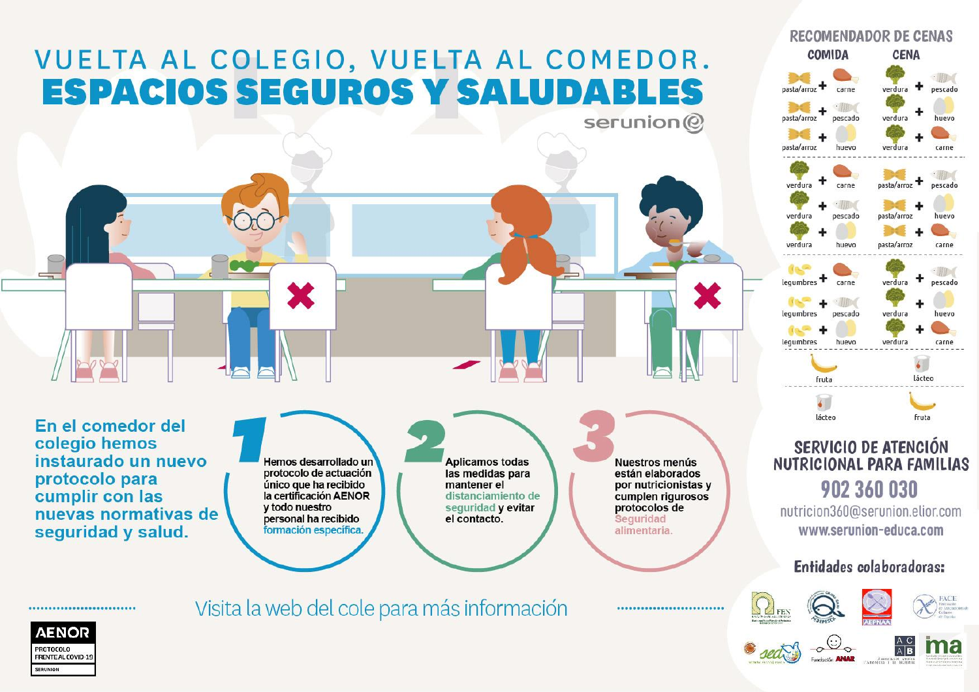